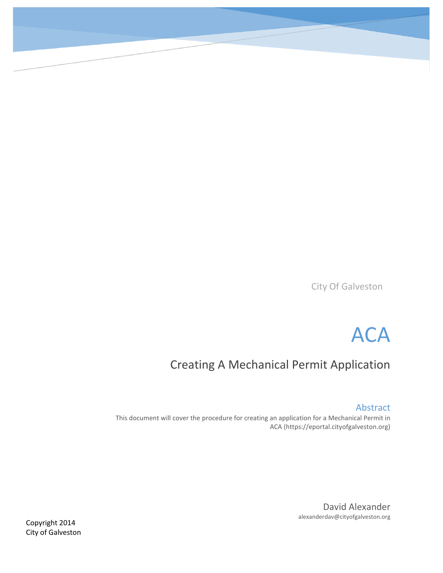City Of Galveston



# Creating A Mechanical Permit Application

Abstract

This document will cover the procedure for creating an application for a Mechanical Permit in ACA (https://eportal.cityofgalveston.org)

> David Alexander alexanderdav@cityofgalveston.org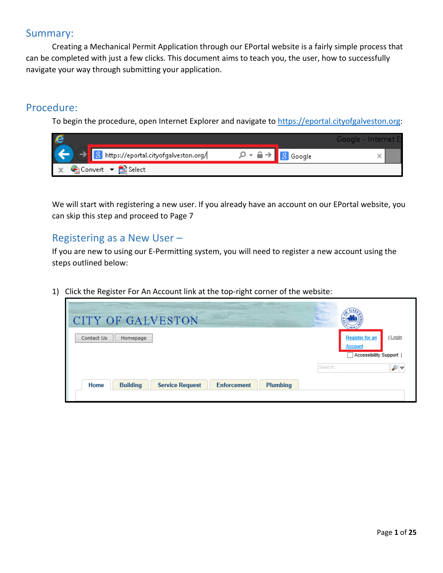### Summary:

Creating a Mechanical Permit Application through our EPortal website is a fairly simple process that can be completed with just a few clicks. This document aims to teach you, the user, how to successfully navigate your way through submitting your application.

### Procedure:

To begin the procedure, open Internet Explorer and navigate to [https://eportal.cityofgalveston.org:](https://eportal.cityofgalveston.org/)

| e            |                                        |                                                | Google - Internet Et |
|--------------|----------------------------------------|------------------------------------------------|----------------------|
| ĺ            | 8 https://eportal.cityofgalveston.org/ | $\varphi$ + $\triangle$ + $\frac{8}{3}$ Google |                      |
| $\mathbf{x}$ | Convert v A Select                     |                                                |                      |

We will start with registering a new user. If you already have an account on our EPortal website, you can skip this step and proceed to Page 7

### Registering as a New User –

If you are new to using our E-Permitting system, you will need to register a new account using the steps outlined below:

1) Click the Register For An Account link at the top-right corner of the website:

| <b>CITY OF GALVESTON</b>                                                                             | $*1839*$                                                                   |
|------------------------------------------------------------------------------------------------------|----------------------------------------------------------------------------|
| Contact Us<br>Homepage                                                                               | Login<br><b>Register for an</b><br><b>Account</b><br>Accessibility Support |
| Search<br>Home<br><b>Plumbing</b><br><b>Building</b><br><b>Service Request</b><br><b>Enforcement</b> | ₽▼                                                                         |
|                                                                                                      |                                                                            |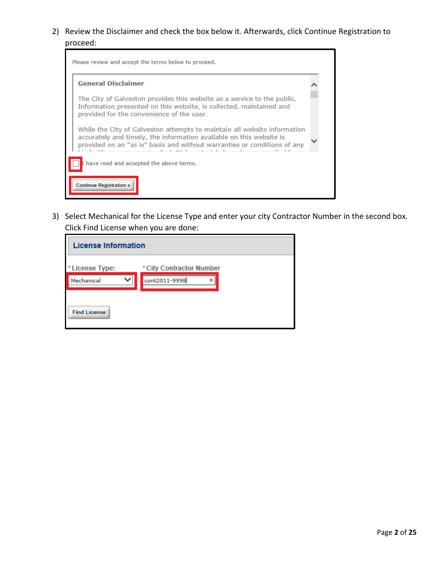2) Review the Disclaimer and check the box below it. Afterwards, click Continue Registration to proceed:



3) Select Mechanical for the License Type and enter your city Contractor Number in the second box. Click Find License when you are done:

| <b>License Information</b> |                          |  |
|----------------------------|--------------------------|--|
| *License Type:             | * City Contractor Number |  |
| Mechanical                 | cont2011-9998<br>×       |  |
| <b>Find License</b>        |                          |  |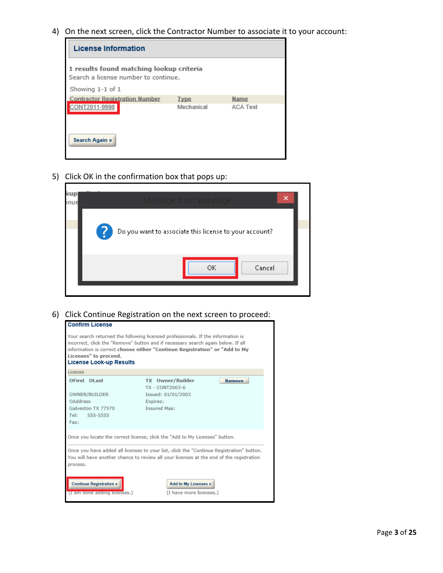4) On the next screen, click the Contractor Number to associate it to your account:

| <b>License Information</b>                                                       |             |                 |  |
|----------------------------------------------------------------------------------|-------------|-----------------|--|
| 1 results found matching lookup criteria<br>Search a license number to continue. |             |                 |  |
| Showing 1-1 of 1                                                                 |             |                 |  |
| <b>Contractor Registration Number</b>                                            | <b>Type</b> | Name            |  |
| NT2011-9998                                                                      | Mechanical  | <b>ACA Test</b> |  |
| <b>Search Again »</b>                                                            |             |                 |  |

5) Click OK in the confirmation box that pops up:

| kup<br>inue |    | lessade from webba                                     |        |  |
|-------------|----|--------------------------------------------------------|--------|--|
|             | -7 | Do you want to associate this license to your account? |        |  |
|             |    | ОK                                                     | Cancel |  |

ī

#### 6) Click Continue Registration on the next screen to proceed:

| <b>Confirm License</b>                                                                                                                                                                                                                                                                                        |                                                                                                               |  |  |
|---------------------------------------------------------------------------------------------------------------------------------------------------------------------------------------------------------------------------------------------------------------------------------------------------------------|---------------------------------------------------------------------------------------------------------------|--|--|
| Your search returned the following licensed professionals. If the information is<br>incorrect, click the "Remove" button and if necessary search again below. If all<br>information is correct choose either "Continue Registration" or "Add to My<br>Licenses" to proceed.<br><b>License Look-up Results</b> |                                                                                                               |  |  |
| License                                                                                                                                                                                                                                                                                                       |                                                                                                               |  |  |
| OFirst OLast<br>OWNER/BUILDER<br>OAddress<br>Galveston TX 77570<br>Tel:<br>555-5555<br>Fax:                                                                                                                                                                                                                   | TX Owner/Builder<br><b>Remove</b><br>TX - CONT2003-6<br>Issued: 01/01/2003<br>Expires:<br><b>Insured Max:</b> |  |  |
| Once you locate the correct license, click the "Add to My Licenses" button.                                                                                                                                                                                                                                   |                                                                                                               |  |  |
| Once you have added all licenses to your list, click the "Continue Registration" button.<br>You will have another chance to review all your licenses at the end of the registration<br>process.                                                                                                               |                                                                                                               |  |  |
| <b>Continue Registration »</b><br>(I am done adding licenses.)                                                                                                                                                                                                                                                | <b>Add to My Licenses »</b><br>(I have more licenses.)                                                        |  |  |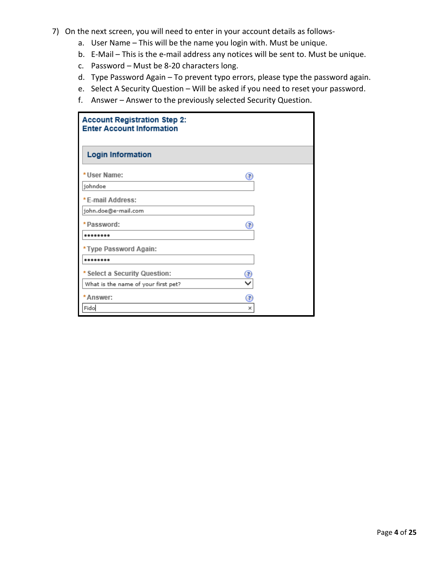- 7) On the next screen, you will need to enter in your account details as follows
	- a. User Name This will be the name you login with. Must be unique.
	- b. E-Mail This is the e-mail address any notices will be sent to. Must be unique.
	- c. Password Must be 8-20 characters long.
	- d. Type Password Again To prevent typo errors, please type the password again.
	- e. Select A Security Question Will be asked if you need to reset your password.
	- f. Answer Answer to the previously selected Security Question.

| <b>Account Registration Step 2:</b><br><b>Enter Account Information</b> |  |  |  |
|-------------------------------------------------------------------------|--|--|--|
| <b>Login Information</b>                                                |  |  |  |
| * User Name:<br>☺                                                       |  |  |  |
| johndoe                                                                 |  |  |  |
| *E-mail Address:                                                        |  |  |  |
| john.doe@e-mail.com                                                     |  |  |  |
| *Password:<br>◉                                                         |  |  |  |
|                                                                         |  |  |  |
| *Type Password Again:                                                   |  |  |  |
|                                                                         |  |  |  |
| * Select a Security Question:                                           |  |  |  |
| What is the name of your first pet?                                     |  |  |  |
| *Answer:<br>€                                                           |  |  |  |
| Fido<br>×                                                               |  |  |  |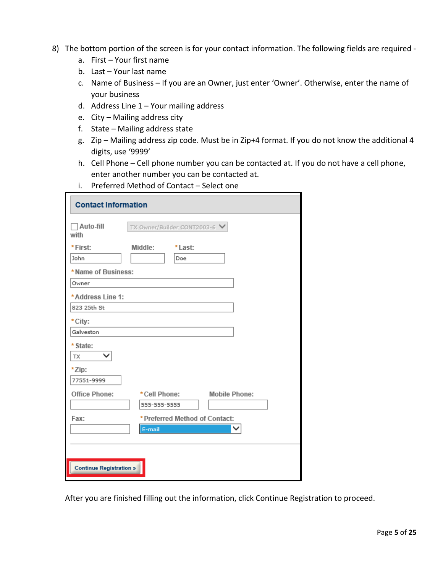- 8) The bottom portion of the screen is for your contact information. The following fields are required
	- a. First Your first name
	- b. Last Your last name
	- c. Name of Business If you are an Owner, just enter 'Owner'. Otherwise, enter the name of your business
	- d. Address Line 1 Your mailing address
	- e. City Mailing address city
	- f. State Mailing address state
	- g. Zip Mailing address zip code. Must be in Zip+4 format. If you do not know the additional 4 digits, use '9999'
	- h. Cell Phone Cell phone number you can be contacted at. If you do not have a cell phone, enter another number you can be contacted at.
	- i. Preferred Method of Contact Select one

| <b>Contact Information</b>     |                                      |  |  |
|--------------------------------|--------------------------------------|--|--|
| Auto-fill<br>with              | TX Owner/Builder CONT2003-6 V        |  |  |
| *First:                        | Middle:<br>*Last:                    |  |  |
| John                           | Doe                                  |  |  |
| * Name of Business:            |                                      |  |  |
| Owner                          |                                      |  |  |
| *Address Line 1:               |                                      |  |  |
| 823 25th St                    |                                      |  |  |
| * City:                        |                                      |  |  |
| Galveston                      |                                      |  |  |
| * State:                       |                                      |  |  |
| <b>TX</b>                      |                                      |  |  |
| *Zip:                          |                                      |  |  |
| 77551-9999                     |                                      |  |  |
| Office Phone:                  | <b>Mobile Phone:</b><br>*Cell Phone: |  |  |
|                                | 555-555-5555                         |  |  |
| Fax:                           | * Preferred Method of Contact:       |  |  |
|                                | E-mail                               |  |  |
|                                |                                      |  |  |
|                                |                                      |  |  |
| <b>Continue Registration »</b> |                                      |  |  |

After you are finished filling out the information, click Continue Registration to proceed.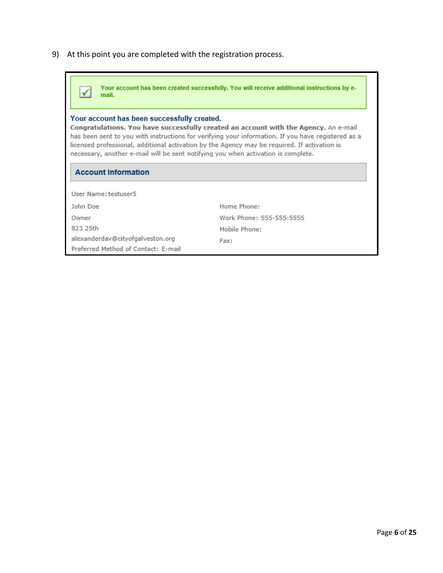9) At this point you are completed with the registration process.

| Your account has been created successfully. You will receive additional instructions by e-<br>mail.                                                                                                                                                                                                                                                                             |                          |  |  |
|---------------------------------------------------------------------------------------------------------------------------------------------------------------------------------------------------------------------------------------------------------------------------------------------------------------------------------------------------------------------------------|--------------------------|--|--|
| Your account has been successfully created.                                                                                                                                                                                                                                                                                                                                     |                          |  |  |
| Congratulations. You have successfully created an account with the Agency. An e-mail<br>has been sent to you with instructions for verifying your information. If you have registered as a<br>licensed professional, additional activation by the Agency may be required. If activation is<br>necessary, another e-mail will be sent notifying you when activation is complete. |                          |  |  |
| <b>Account Information</b>                                                                                                                                                                                                                                                                                                                                                      |                          |  |  |
| User Name: testuser5                                                                                                                                                                                                                                                                                                                                                            |                          |  |  |
| John Doe                                                                                                                                                                                                                                                                                                                                                                        | Home Phone:              |  |  |
| Owner                                                                                                                                                                                                                                                                                                                                                                           | Work Phone: 555-555-5555 |  |  |
| 823 25th                                                                                                                                                                                                                                                                                                                                                                        | Mobile Phone:            |  |  |
| alexanderdav@cityofgalveston.org<br>Preferred Method of Contact: E-mail                                                                                                                                                                                                                                                                                                         | Fax:                     |  |  |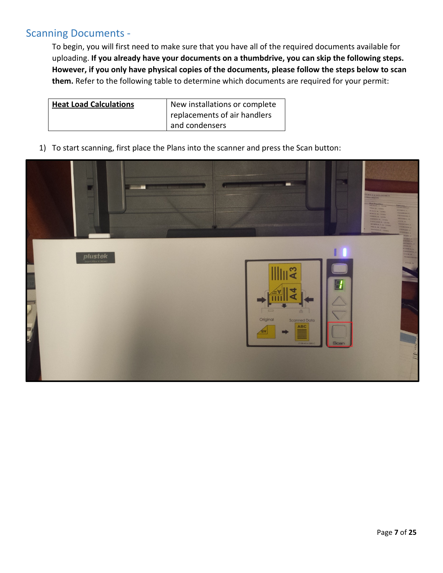# Scanning Documents -

To begin, you will first need to make sure that you have all of the required documents available for uploading. **If you already have your documents on a thumbdrive, you can skip the following steps. However, if you only have physical copies of the documents, please follow the steps below to scan them.** Refer to the following table to determine which documents are required for your permit:

| <b>Heat Load Calculations</b> | New installations or complete |  |
|-------------------------------|-------------------------------|--|
|                               | replacements of air handlers  |  |
|                               | and condensers                |  |

1) To start scanning, first place the Plans into the scanner and press the Scan button:

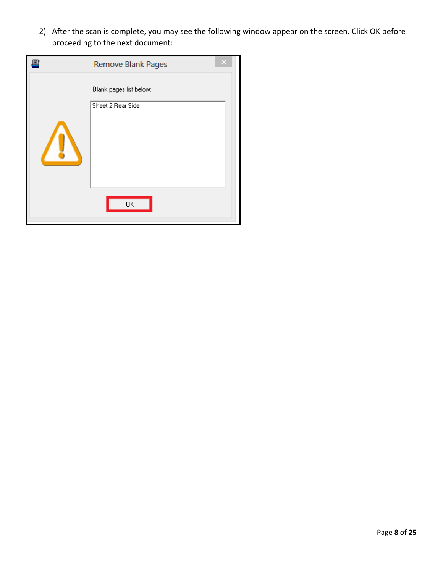2) After the scan is complete, you may see the following window appear on the screen. Click OK before proceeding to the next document:

| <b>Remove Blank Pages</b>                    |  |
|----------------------------------------------|--|
| Blank pages list below:<br>Sheet 2 Rear Side |  |
| 0K                                           |  |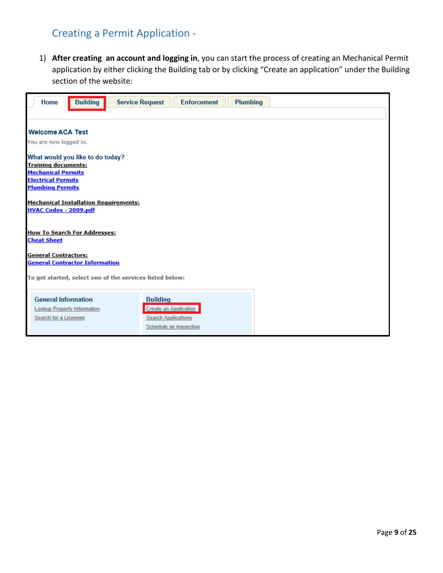## Creating a Permit Application -

1) **After creating an account and logging in**, you can start the process of creating an Mechanical Permit application by either clicking the Building tab or by clicking "Create an application" under the Building section of the website:

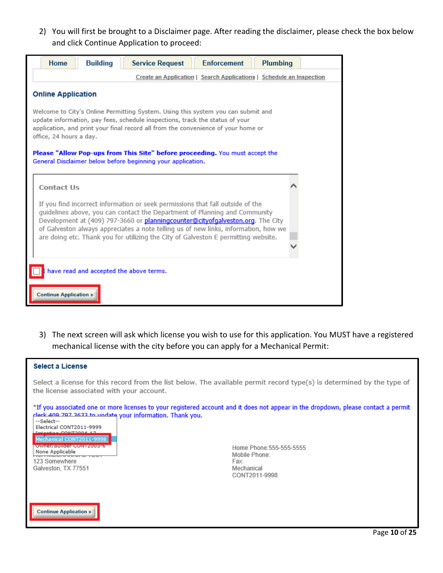2) You will first be brought to a Disclaimer page. After reading the disclaimer, please check the box below and click Continue Application to proceed:

![](_page_10_Picture_1.jpeg)

3) The next screen will ask which license you wish to use for this application. You MUST have a registered mechanical license with the city before you can apply for a Mechanical Permit:

| <b>Select a License</b>                                                                                                                                                                                                                                                                                                                                                                                                                                        |  |  |  |  |
|----------------------------------------------------------------------------------------------------------------------------------------------------------------------------------------------------------------------------------------------------------------------------------------------------------------------------------------------------------------------------------------------------------------------------------------------------------------|--|--|--|--|
| Select a license for this record from the list below. The available permit record type(s) is determined by the type of<br>the license associated with your account.                                                                                                                                                                                                                                                                                            |  |  |  |  |
| *If you associated one or more licenses to your registered account and it does not appear in the dropdown, please contact a permit<br>clork 400 707 3633 to undate your information. Thank you.<br>--Select--<br>Electrical CONT2011-9999<br>CONTROL 1<br>Mechanical CONT2011-9998<br>Owner/ Builder CONTZ003-6<br>Home Phone: 555-555-5555<br>None Applicable<br>Mobile Phone:<br>123 Somewhere<br>Fax:<br>Galveston, TX 77551<br>Mechanical<br>CONT2011-9998 |  |  |  |  |
| <b>Continue Application »</b>                                                                                                                                                                                                                                                                                                                                                                                                                                  |  |  |  |  |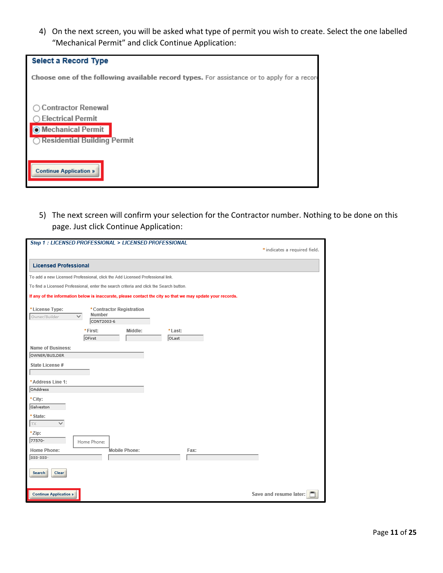4) On the next screen, you will be asked what type of permit you wish to create. Select the one labelled "Mechanical Permit" and click Continue Application:

| <b>Select a Record Type</b>                                                                                   |
|---------------------------------------------------------------------------------------------------------------|
| Choose one of the following available record types. For assistance or to apply for a record                   |
| <b>Contractor Renewal</b><br><b>Electrical Permit</b><br>O Mechanical Permit<br>◯ Residential Building Permit |
| <b>Continue Application »</b>                                                                                 |

5) The next screen will confirm your selection for the Contractor number. Nothing to be done on this page. Just click Continue Application:

| Step 1 : LICENSED PROFESSIONAL > LICENSED PROFESSIONAL                                                     |                               |  |  |  |
|------------------------------------------------------------------------------------------------------------|-------------------------------|--|--|--|
|                                                                                                            | * indicates a required field. |  |  |  |
|                                                                                                            |                               |  |  |  |
| <b>Licensed Professional</b>                                                                               |                               |  |  |  |
| To add a new Licensed Professional, click the Add Licensed Professional link.                              |                               |  |  |  |
| To find a Licensed Professional, enter the search criteria and click the Search button.                    |                               |  |  |  |
| If any of the information below is inaccurate, please contact the city so that we may update your records. |                               |  |  |  |
| *License Type:<br>*Contractor Registration<br>Number<br>$\checkmark$<br>Owner/Builder<br>CONT2003-6        |                               |  |  |  |
| *First:<br>Middle:<br>*Last:                                                                               |                               |  |  |  |
| OFirst<br>OLast                                                                                            |                               |  |  |  |
| Name of Business:                                                                                          |                               |  |  |  |
| OWNER/BUILDER                                                                                              |                               |  |  |  |
| State License #                                                                                            |                               |  |  |  |
|                                                                                                            |                               |  |  |  |
| *Address Line 1:                                                                                           |                               |  |  |  |
| OAddress                                                                                                   |                               |  |  |  |
| * City:                                                                                                    |                               |  |  |  |
| Galveston                                                                                                  |                               |  |  |  |
| * State:                                                                                                   |                               |  |  |  |
| ✓<br><b>TX</b>                                                                                             |                               |  |  |  |
| *Zip:                                                                                                      |                               |  |  |  |
| 77570-<br>Home Phone:                                                                                      |                               |  |  |  |
| Home Phone:<br>Mobile Phone:<br>Fax:                                                                       |                               |  |  |  |
| 555-555-                                                                                                   |                               |  |  |  |
| Clear<br>Search                                                                                            |                               |  |  |  |
| <b>Continue Application »</b>                                                                              | Save and resume later:        |  |  |  |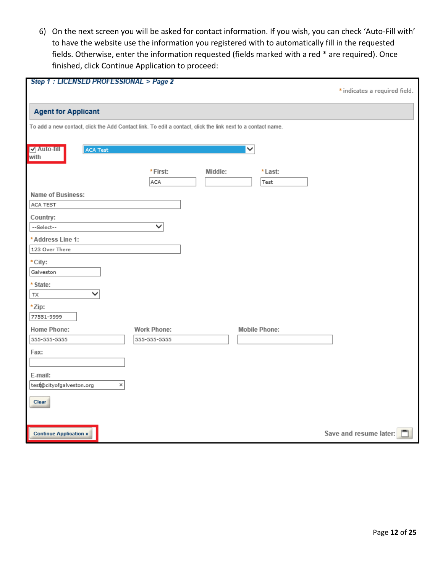6) On the next screen you will be asked for contact information. If you wish, you can check 'Auto-Fill with' to have the website use the information you registered with to automatically fill in the requested fields. Otherwise, enter the information requested (fields marked with a red \* are required). Once finished, click Continue Application to proceed:

| Step 1 : LICENSED PROFESSIONAL > Page 2                                                                     |                    |         |                      | * indicates a required field. |
|-------------------------------------------------------------------------------------------------------------|--------------------|---------|----------------------|-------------------------------|
| <b>Agent for Applicant</b>                                                                                  |                    |         |                      |                               |
| To add a new contact, click the Add Contact link. To edit a contact, click the link next to a contact name. |                    |         |                      |                               |
|                                                                                                             |                    |         |                      |                               |
| V Auto-fill<br>ACA Test<br>with                                                                             |                    |         | $\checkmark$         |                               |
|                                                                                                             |                    |         |                      |                               |
|                                                                                                             | *First:<br>ACA     | Middle: | *Last:<br>Test       |                               |
| Name of Business:                                                                                           |                    |         |                      |                               |
| ACA TEST                                                                                                    |                    |         |                      |                               |
| Country:                                                                                                    |                    |         |                      |                               |
| --Select--                                                                                                  | ◡                  |         |                      |                               |
| *Address Line 1:                                                                                            |                    |         |                      |                               |
| 123 Over There                                                                                              |                    |         |                      |                               |
| * City:                                                                                                     |                    |         |                      |                               |
| Galveston                                                                                                   |                    |         |                      |                               |
| * State:                                                                                                    |                    |         |                      |                               |
| $\checkmark$<br>ТX                                                                                          |                    |         |                      |                               |
| *Zip:                                                                                                       |                    |         |                      |                               |
| 77551-9999                                                                                                  |                    |         |                      |                               |
| Home Phone:                                                                                                 | <b>Work Phone:</b> |         | <b>Mobile Phone:</b> |                               |
| 555-555-5555                                                                                                | 555-555-5555       |         |                      |                               |
| Fax:                                                                                                        |                    |         |                      |                               |
|                                                                                                             |                    |         |                      |                               |
| E-mail:                                                                                                     |                    |         |                      |                               |
| $\times$<br>test@cityofgalveston.org                                                                        |                    |         |                      |                               |
| Clear                                                                                                       |                    |         |                      |                               |
|                                                                                                             |                    |         |                      |                               |
|                                                                                                             |                    |         |                      |                               |
| <b>Continue Application »</b>                                                                               |                    |         |                      | Save and resume later:        |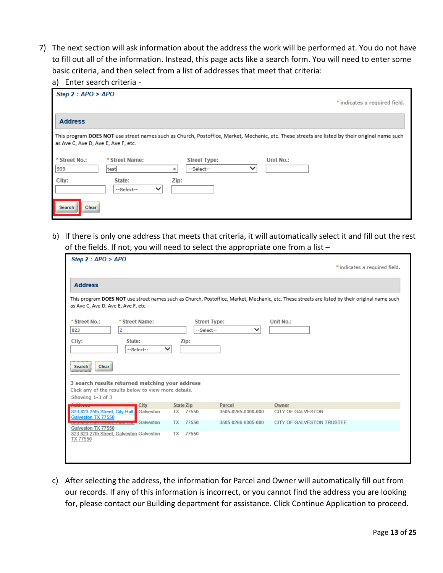7) The next section will ask information about the address the work will be performed at. You do not have to fill out all of the information. Instead, this page acts like a search form. You will need to enter some basic criteria, and then select from a list of addresses that meet that criteria:

|  |  |  | a) Enter search criteria - |  |
|--|--|--|----------------------------|--|
|--|--|--|----------------------------|--|

| Step $2: APO > APO$                 |                                     |                                   |             | * indicates a required field.                                                                                                                  |
|-------------------------------------|-------------------------------------|-----------------------------------|-------------|------------------------------------------------------------------------------------------------------------------------------------------------|
| <b>Address</b>                      |                                     |                                   |             |                                                                                                                                                |
| as Ave C, Ave D, Ave E, Ave F, etc. |                                     |                                   |             | This program DOES NOT use street names such as Church, Postoffice, Market, Mechanic, etc. These streets are listed by their original name such |
| * Street No.:<br>999                | * Street Name:<br>test<br>×         | <b>Street Type:</b><br>--Select-- | $\check{ }$ | Unit No.:                                                                                                                                      |
| City:                               | State:<br>$\check{ }$<br>--Select-- | Zip:                              |             |                                                                                                                                                |
| Search<br><b>Clear</b>              |                                     |                                   |             |                                                                                                                                                |

b) If there is only one address that meets that criteria, it will automatically select it and fill out the rest of the fields. If not, you will need to select the appropriate one from a list –

| Step $2:$ APO > APO                                                                                                                                                                                                                 |                                                        |                                                                   |                                                    |                                                                                                                                                | * indicates a required field. |
|-------------------------------------------------------------------------------------------------------------------------------------------------------------------------------------------------------------------------------------|--------------------------------------------------------|-------------------------------------------------------------------|----------------------------------------------------|------------------------------------------------------------------------------------------------------------------------------------------------|-------------------------------|
| <b>Address</b>                                                                                                                                                                                                                      |                                                        |                                                                   |                                                    |                                                                                                                                                |                               |
| as Ave C, Ave D, Ave E, Ave F, etc.                                                                                                                                                                                                 |                                                        |                                                                   |                                                    | This program DOES NOT use street names such as Church, Postoffice, Market, Mechanic, etc. These streets are listed by their original name such |                               |
| * Street No.:<br>$\overline{2}$<br>823<br>City:<br>,,,,,,,,,,,,,,,,<br><b>Clear</b><br><b>Search</b><br>3 search results returned matching your address<br>Click any of the results below to view more details.<br>Showing 1-3 of 3 | * Street Name:<br>State:<br>$\checkmark$<br>--Select-- | <b>Street Type:</b><br>--Select--<br>Zip:                         | $\checkmark$                                       | Unit No.:                                                                                                                                      |                               |
| 823 823 25th Street, City Hall,<br>Galveston TX 77550<br><u> Louisia de la componente de la componen</u><br>Galveston TX 77550<br>823 823 27th Street, Galveston Galveston<br>TX 77550                                              | City<br>Galveston<br>Galveston                         | <b>State Zip</b><br>77550<br>TX<br><b>TX</b><br>77550<br>TX 77550 | Parcel<br>3505-0265-0000-000<br>3505-0266-0005-000 | Owner<br>CITY OF GALVESTON<br>CITY OF GALVESTON TRUSTEE.                                                                                       |                               |

c) After selecting the address, the information for Parcel and Owner will automatically fill out from our records. If any of this information is incorrect, or you cannot find the address you are looking for, please contact our Building department for assistance. Click Continue Application to proceed.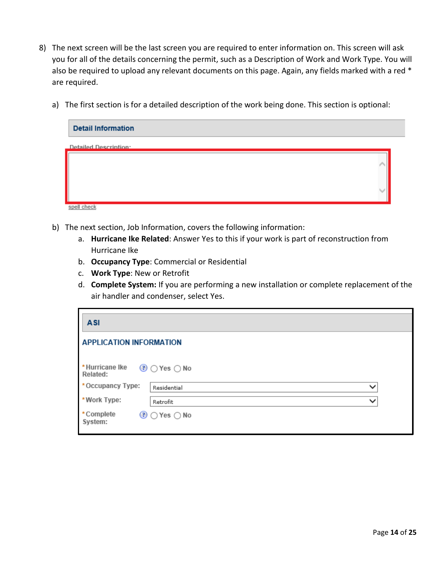- 8) The next screen will be the last screen you are required to enter information on. This screen will ask you for all of the details concerning the permit, such as a Description of Work and Work Type. You will also be required to upload any relevant documents on this page. Again, any fields marked with a red \* are required.
	- a) The first section is for a detailed description of the work being done. This section is optional:

| <b>Detail Information</b>    |  |
|------------------------------|--|
| <b>Detailed Description:</b> |  |
|                              |  |
|                              |  |
|                              |  |
| spell check                  |  |

- b) The next section, Job Information, covers the following information:
	- a. **Hurricane Ike Related**: Answer Yes to this if your work is part of reconstruction from Hurricane Ike
	- b. **Occupancy Type**: Commercial or Residential
	- c. **Work Type**: New or Retrofit
	- d. **Complete System:** If you are performing a new installation or complete replacement of the air handler and condenser, select Yes.

| <b>ASI</b>                     |                             |  |  |  |  |
|--------------------------------|-----------------------------|--|--|--|--|
| <b>APPLICATION INFORMATION</b> |                             |  |  |  |  |
| *Hurricane Ike<br>Related:     | $\odot$ Yes $\odot$ No      |  |  |  |  |
| *Occupancy Type:               | $\checkmark$<br>Residential |  |  |  |  |
| *Work Type:                    | $\checkmark$<br>Retrofit    |  |  |  |  |
| *Complete<br>System:           | $\odot$ Yes $\odot$ No      |  |  |  |  |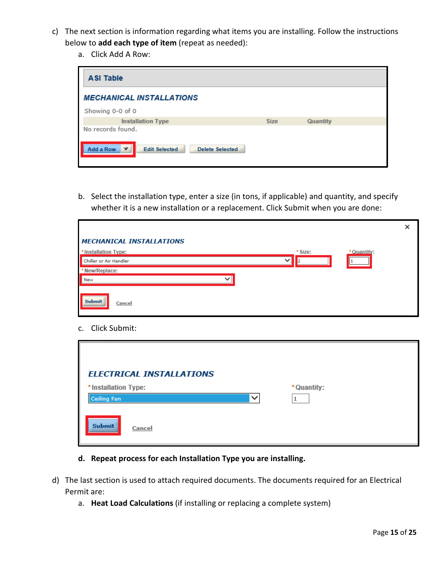- c) The next section is information regarding what items you are installing. Follow the instructions below to **add each type of item** (repeat as needed):
	- a. Click Add A Row:

| <b>ASI Table</b>                                            |             |          |  |  |  |
|-------------------------------------------------------------|-------------|----------|--|--|--|
| <b>MECHANICAL INSTALLATIONS</b>                             |             |          |  |  |  |
| Showing 0-0 of 0                                            |             |          |  |  |  |
| <b>Installation Type</b>                                    | <b>Size</b> | Quantity |  |  |  |
| No records found.                                           |             |          |  |  |  |
| Add a Row<br><b>Edit Selected</b><br><b>Delete Selected</b> |             |          |  |  |  |

b. Select the installation type, enter a size (in tons, if applicable) and quantity, and specify whether it is a new installation or a replacement. Click Submit when you are done:

|                                 |                        | × |
|---------------------------------|------------------------|---|
| <b>MECHANICAL INSTALLATIONS</b> |                        |   |
| *Installation Type:             | * Size:<br>* Quantity: |   |
| Chiller or Air Handler          | $\checkmark$           |   |
| *New/Replace:                   |                        |   |
| New                             | $\checkmark$           |   |
|                                 |                        |   |
| <b>Submit</b><br>Cancel         |                        |   |
|                                 |                        |   |

c. Click Submit:

|                                    | <b>ELECTRICAL INSTALLATIONS</b> |             |  |
|------------------------------------|---------------------------------|-------------|--|
| *Installation Type:<br>Ceiling Fan | $\checkmark$                    | * Quantity: |  |
| <b>Submit</b>                      | Cancel                          |             |  |

- **d. Repeat process for each Installation Type you are installing.**
- d) The last section is used to attach required documents. The documents required for an Electrical Permit are:
	- a. **Heat Load Calculations** (if installing or replacing a complete system)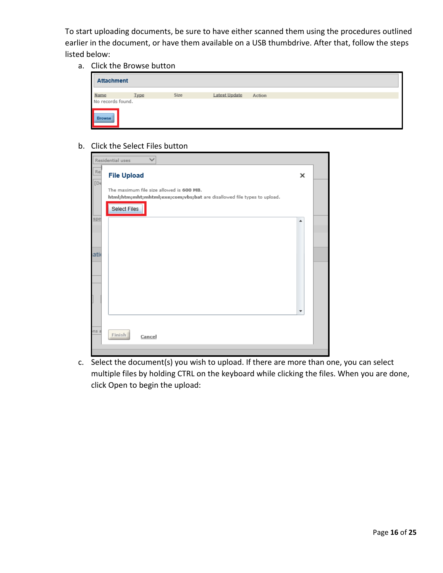To start uploading documents, be sure to have either scanned them using the procedures outlined earlier in the document, or have them available on a USB thumbdrive. After that, follow the steps listed below:

a. Click the Browse button

b. Click the Select Files button

|      | Residential uses                                                                                                    |                        |  |  |
|------|---------------------------------------------------------------------------------------------------------------------|------------------------|--|--|
| Re:  | <b>File Upload</b>                                                                                                  | ×                      |  |  |
| [De  | The maximum file size allowed is 600 MB.<br>html;htm;mht;mhtml;exe;com;vbs;bat are disallowed file types to upload. |                        |  |  |
| spe  | <b>Select Files</b>                                                                                                 |                        |  |  |
|      |                                                                                                                     | ▲                      |  |  |
|      |                                                                                                                     |                        |  |  |
| atio |                                                                                                                     |                        |  |  |
|      |                                                                                                                     |                        |  |  |
|      |                                                                                                                     |                        |  |  |
|      |                                                                                                                     |                        |  |  |
|      |                                                                                                                     | $\overline{\mathbf v}$ |  |  |
| ns a | Finish<br>Cancel                                                                                                    |                        |  |  |
|      |                                                                                                                     |                        |  |  |

c. Select the document(s) you wish to upload. If there are more than one, you can select multiple files by holding CTRL on the keyboard while clicking the files. When you are done, click Open to begin the upload: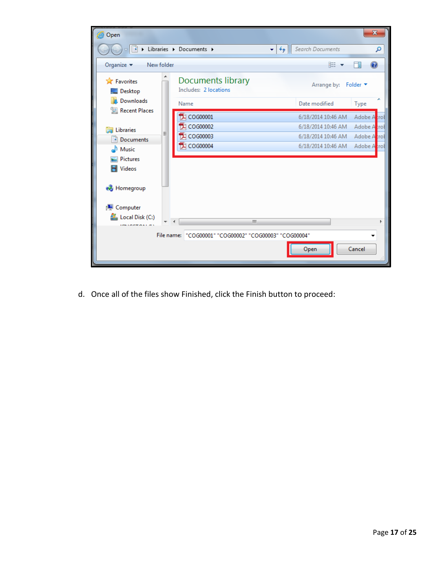![](_page_17_Picture_0.jpeg)

d. Once all of the files show Finished, click the Finish button to proceed: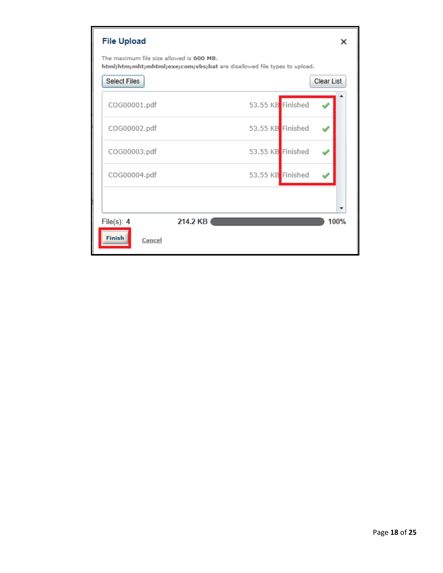| <b>File Upload</b>                                                                                                  |                   | x                 |  |  |
|---------------------------------------------------------------------------------------------------------------------|-------------------|-------------------|--|--|
| The maximum file size allowed is 600 MB.<br>html;htm;mht;mhtml;exe;com;vbs;bat are disallowed file types to upload. |                   |                   |  |  |
| <b>Select Files</b>                                                                                                 |                   | <b>Clear List</b> |  |  |
| COG00001.pdf                                                                                                        | 53.55 KB Finished |                   |  |  |
| COG00002.pdf                                                                                                        | 53.55 KB Finished |                   |  |  |
| COG00003.pdf                                                                                                        | 53.55 KB Finished |                   |  |  |
| COG00004.pdf                                                                                                        | 53.55 KB Finished |                   |  |  |
|                                                                                                                     |                   |                   |  |  |
| 214.2 KB<br>File $(s)$ : 4                                                                                          |                   | 100%              |  |  |
| <b>Finish</b><br>Cancel                                                                                             |                   |                   |  |  |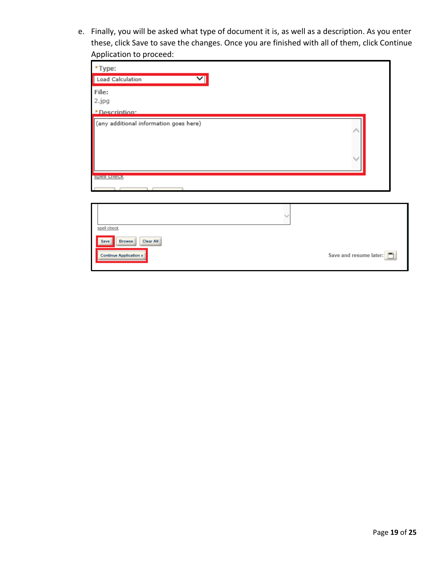e. Finally, you will be asked what type of document it is, as well as a description. As you enter these, click Save to save the changes. Once you are finished with all of them, click Continue Application to proceed:

| *Type:                                                                     |                        |
|----------------------------------------------------------------------------|------------------------|
| Load Calculation<br>$\mathrel{\blacktriangledown}$                         |                        |
| File:<br>2.jpg                                                             |                        |
| *Description*                                                              |                        |
| (any additional information goes here)                                     |                        |
| <b>Spell crieck</b>                                                        |                        |
|                                                                            |                        |
|                                                                            |                        |
| spell check                                                                |                        |
| <b>Browse</b><br><b>Clear All</b><br>Save<br><b>Continue Application »</b> | Save and resume later: |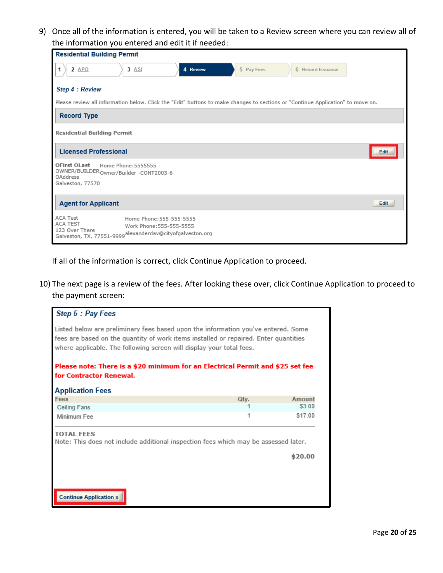9) Once all of the information is entered, you will be taken to a Review screen where you can review all of the information you entered and edit it if needed:

| <b>Residential Building Permit</b>                                                                                                                                 |  |  |  |  |
|--------------------------------------------------------------------------------------------------------------------------------------------------------------------|--|--|--|--|
| 2 APO<br>$3$ ASI<br>4 Review<br>5 Pay Fees<br>1<br>6 Record Issuance                                                                                               |  |  |  |  |
| Step 4 : Review                                                                                                                                                    |  |  |  |  |
| Please review all information below. Click the "Edit" buttons to make changes to sections or "Continue Application" to move on.                                    |  |  |  |  |
| <b>Record Type</b>                                                                                                                                                 |  |  |  |  |
| <b>Residential Building Permit</b>                                                                                                                                 |  |  |  |  |
| <b>Licensed Professional</b><br>Edit                                                                                                                               |  |  |  |  |
| <b>OFirst OLast</b><br>Home Phone: 5555555<br>OWNER/BUILDER Owner/Builder -CONT2003-6<br>OAddress<br>Galveston, 77570                                              |  |  |  |  |
| <b>Agent for Applicant</b><br>Edit                                                                                                                                 |  |  |  |  |
| <b>ACA Test</b><br>Home Phone: 555-555-5555<br>ACA TEST<br>Work Phone: 555-555-5555<br>123 Over There<br>Galveston, TX, 77551-9999alexanderdav@cityofgalveston.org |  |  |  |  |

If all of the information is correct, click Continue Application to proceed.

10) The next page is a review of the fees. After looking these over, click Continue Application to proceed to the payment screen:

![](_page_20_Picture_4.jpeg)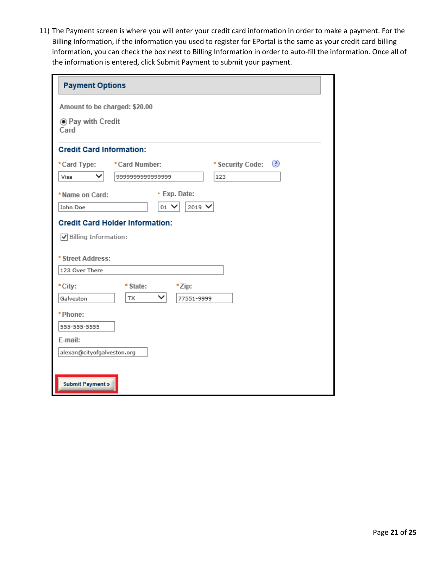11) The Payment screen is where you will enter your credit card information in order to make a payment. For the Billing Information, if the information you used to register for EPortal is the same as your credit card billing information, you can check the box next to Billing Information in order to auto-fill the information. Once all of the information is entered, click Submit Payment to submit your payment.

| <b>Payment Options</b>          |                                        |                   |                       |  |  |
|---------------------------------|----------------------------------------|-------------------|-----------------------|--|--|
| Amount to be charged: \$20.00   |                                        |                   |                       |  |  |
| Card                            | ◉ Pay with Credit                      |                   |                       |  |  |
| <b>Credit Card Information:</b> |                                        |                   |                       |  |  |
| *Card Type:                     | *Card Number:                          |                   | ◉<br>* Security Code: |  |  |
| Visa                            | 999999999999999                        |                   | 123                   |  |  |
| * Name on Card:                 |                                        | * Exp. Date:      |                       |  |  |
| John Doe                        | $_{01}$ $\vee$                         | $2019$ $\sqrt{ }$ |                       |  |  |
|                                 | <b>Credit Card Holder Information:</b> |                   |                       |  |  |
| √ Billing Information:          |                                        |                   |                       |  |  |
|                                 | * Street Address:                      |                   |                       |  |  |
| 123 Over There                  |                                        |                   |                       |  |  |
| * City:                         | * State:                               | *Zip:             |                       |  |  |
| Galveston                       | ✓<br><b>TX</b>                         | 77551-9999        |                       |  |  |
| *Phone:                         |                                        |                   |                       |  |  |
| 555-555-5555                    |                                        |                   |                       |  |  |
| E-mail:                         |                                        |                   |                       |  |  |
| alexan@cityofgalveston.org      |                                        |                   |                       |  |  |
|                                 |                                        |                   |                       |  |  |
| <b>Submit Payment »</b>         |                                        |                   |                       |  |  |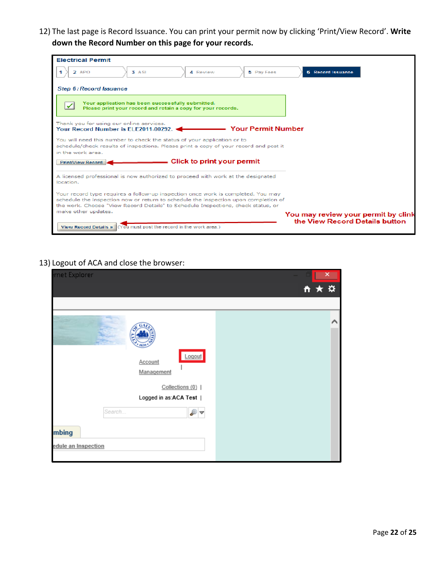12) The last page is Record Issuance. You can print your permit now by clicking 'Print/View Record'. **Write down the Record Number on this page for your records.**

| <b>Electrical Permit</b>                                                                                                                                                                                                                                    |                                     |
|-------------------------------------------------------------------------------------------------------------------------------------------------------------------------------------------------------------------------------------------------------------|-------------------------------------|
| 3. A SI<br>$2$ APO<br>5 Pay Fees<br>4 Review                                                                                                                                                                                                                | 6 Record Issuance                   |
| Step 6: Record Issuance                                                                                                                                                                                                                                     |                                     |
| Your application has been successfully submitted.<br>Please print your record and retain a copy for your records.                                                                                                                                           |                                     |
| Thank you for using our online services.<br><b>Your Permit Number</b><br>Your Record Number is ELE2011-00292.                                                                                                                                               |                                     |
| You will need this number to check the status of your application or to<br>schedule/check results of inspections. Please print a copy of your record and post it                                                                                            |                                     |
| in the work area.                                                                                                                                                                                                                                           |                                     |
| $\equiv$ Click to print your permit<br>Print/View Record                                                                                                                                                                                                    |                                     |
| A licensed professional is now authorized to proceed with work at the designated<br>location.                                                                                                                                                               |                                     |
| Your record type requires a follow-up inspection once work is completed. You may<br>schedule the inspection now or return to schedule the inspection upon completion of<br>the work. Choose "View Record Details" to Schedule Inspections, check status, or |                                     |
| make other updates.                                                                                                                                                                                                                                         | You may review your permit by clink |
| View Record Details » I Cou must post the record in the work area.)                                                                                                                                                                                         | the View Record Details button      |

#### 13) Logout of ACA and close the browser:

| met Explorer                    | ×   |
|---------------------------------|-----|
|                                 | 自大亞 |
|                                 |     |
| Logout<br>Account<br>Management | Р   |
| Collections (0)                 |     |
| Logged in as:ACA Test           |     |
| Search<br>₽⊽                    |     |
| mbing                           |     |
| edule an Inspection             |     |
|                                 |     |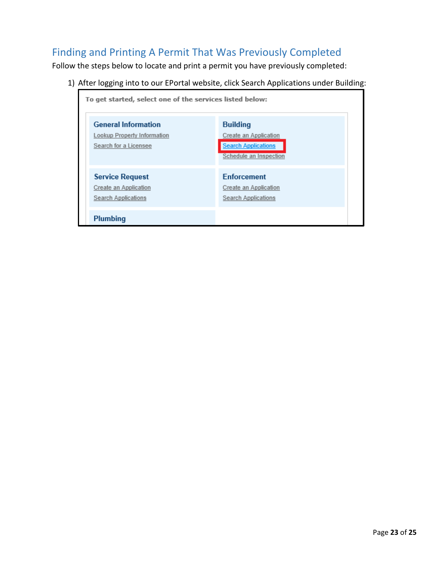# Finding and Printing A Permit That Was Previously Completed

Follow the steps below to locate and print a permit you have previously completed:

1) After logging into to our EPortal website, click Search Applications under Building:

![](_page_23_Figure_3.jpeg)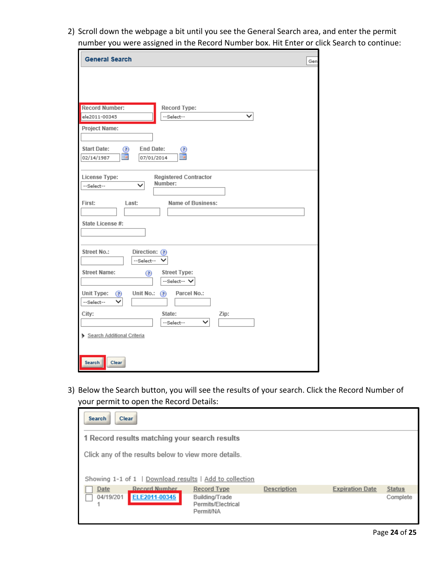2) Scroll down the webpage a bit until you see the General Search area, and enter the permit number you were assigned in the Record Number box. Hit Enter or click Search to continue:

| <b>General Search</b><br>Gen                                                           |  |  |  |
|----------------------------------------------------------------------------------------|--|--|--|
|                                                                                        |  |  |  |
|                                                                                        |  |  |  |
| <b>Record Number:</b><br>Record Type:<br>$\checkmark$<br>ele2011-00345<br>--Select--   |  |  |  |
| <b>Project Name:</b>                                                                   |  |  |  |
| <b>End Date:</b><br><b>Start Date:</b><br>☎<br>◉<br>m<br>▦<br>02/14/1987<br>07/01/2014 |  |  |  |
| <b>Registered Contractor</b><br>License Type:<br>Number:<br>✓<br>--Select--            |  |  |  |
| Name of Business:<br>First:<br>Last:                                                   |  |  |  |
| State License #:                                                                       |  |  |  |
| Street No.:<br>Direction: (?)<br>--Select--                                            |  |  |  |
| <b>Street Name:</b><br><b>Street Type:</b><br>◉<br>--Select-- V                        |  |  |  |
| Unit Type:<br>Unit No.: $(2)$<br>Parcel No.:<br>☉<br>--Select--                        |  |  |  |
| City:<br>State:<br>Zip:                                                                |  |  |  |
| $\checkmark$<br>--Select--<br>Search Additional Criteria                               |  |  |  |
|                                                                                        |  |  |  |
| Search<br>Clear                                                                        |  |  |  |

3) Below the Search button, you will see the results of your search. Click the Record Number of your permit to open the Record Details:

| <b>Clear</b><br><b>Search</b>                                                                                   |                                                                         |                    |                        |                           |  |
|-----------------------------------------------------------------------------------------------------------------|-------------------------------------------------------------------------|--------------------|------------------------|---------------------------|--|
|                                                                                                                 | 1 Record results matching your search results                           |                    |                        |                           |  |
| Click any of the results below to view more details.<br>Showing 1-1 of 1   Download results   Add to collection |                                                                         |                    |                        |                           |  |
| <b>Record Number</b><br>Date<br>ELE2011-00345<br>04/19/201                                                      | <b>Record Type</b><br>Building/Trade<br>Permits/Electrical<br>Permit/NA | <b>Description</b> | <b>Expiration Date</b> | <b>Status</b><br>Complete |  |